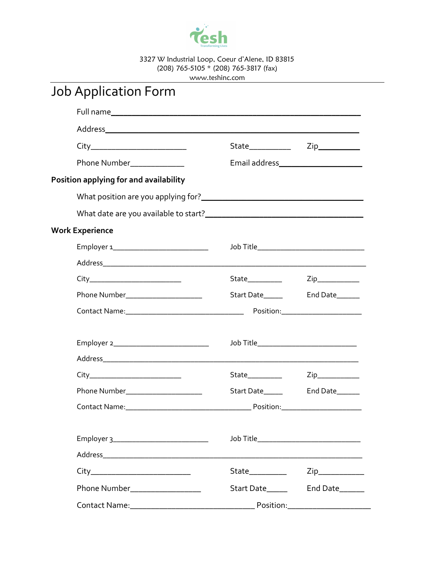

3327 W Industrial Loop, Coeur d'Alene, ID 83815 (208) 765-5105 \* (208) 765-3817 (fax) www.teshinc.com

## Job Application Form

| Address                                |                   |                                             |
|----------------------------------------|-------------------|---------------------------------------------|
| City______________________________     |                   | State______________  Zip____________        |
| Phone Number_______________            |                   |                                             |
| Position applying for and availability |                   |                                             |
|                                        |                   |                                             |
|                                        |                   |                                             |
| <b>Work Experience</b>                 |                   |                                             |
|                                        |                   | Job Title__________________________________ |
|                                        |                   |                                             |
| City_________________________________  | State___________  |                                             |
| Phone Number_____________________      |                   |                                             |
|                                        |                   |                                             |
|                                        |                   |                                             |
|                                        |                   |                                             |
|                                        |                   |                                             |
| City_______________________________    | State____________ |                                             |
| Phone Number______________________     | Start Date______  | End Date______                              |
|                                        |                   |                                             |
|                                        |                   |                                             |
|                                        |                   | Job Title________________________________   |
|                                        |                   |                                             |
|                                        | State__________   | $\mathsf{Zip}\_$                            |
| Phone Number__________________         |                   |                                             |
|                                        |                   |                                             |